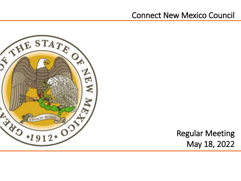# Connect New Mexico Council



Regular Meeting May 18, 2022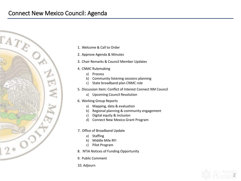# Connect New Mexico Council: Agenda



- 1. Welcome & Call to Order
- 2. Approve Agenda & Minutes
- 3. Chair Remarks & Council Member Updates
- 4. CNMC Rulemaking
	- a) Process
	- b) Community listening sessions planning
	- c) State broadband plan CNMC role
- 5. Discussion Item: Conflict of Interest Connect NM Council
	- a) Upcoming Council Resolution
- 6. Working Group Reports
	- a) Mapping, data & evaluation
	- b) Regional planning & community engagement
	- c) Digital equity & inclusion
	- d) Connect New Mexico Grant Program
- 7. Office of Broadband Update
	- a) Staffing
	- b) Middle Mile RFI
	- c) Pilot Program
- 8. NTIA Notices of Funding Opportunity
- 9. Public Comment
- 10. Adjourn

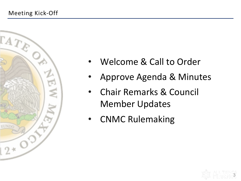

- Welcome & Call to Order
- Approve Agenda & Minutes
- Chair Remarks & Council Member Updates
- CNMC Rulemaking

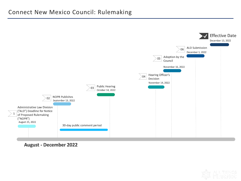

**August - December 2022** 

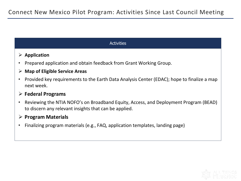#### **Activities**

#### **Application**

• Prepared application and obtain feedback from Grant Working Group.

#### **Map of Eligible Service Areas**

• Provided key requirements to the Earth Data Analysis Center (EDAC); hope to finalize a map next week.

## **Federal Programs**

• Reviewing the NTIA NOFO's on Broadband Equity, Access, and Deployment Program (BEAD) to discern any relevant insights that can be applied.

#### **Program Materials**

• Finalizing program materials (e.g., FAQ, application templates, landing page)

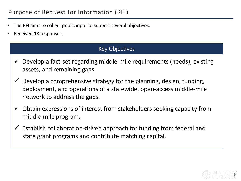- The RFI aims to collect public input to support several objectives.
- Received 18 responses.

## Key Objectives

- $\checkmark$  Develop a fact-set regarding middle-mile requirements (needs), existing assets, and remaining gaps.
- $\checkmark$  Develop a comprehensive strategy for the planning, design, funding, deployment, and operations of a statewide, open-access middle-mile network to address the gaps.
- $\checkmark$  Obtain expressions of interest from stakeholders seeking capacity from middle-mile program.
- $\checkmark$  Establish collaboration-driven approach for funding from federal and state grant programs and contribute matching capital.

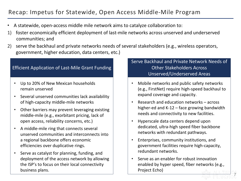# Recap: Impetus for Statewide, Open Access Middle-Mile Program

- A statewide, open-access middle mile network aims to catalyze collaboration to:
- 1) foster economically efficient deployment of last-mile networks across unserved and underserved communities; and
- 2) serve the backhaul and private networks needs of several stakeholders (e.g., wireless operators, government, higher education, data centers, etc.)

#### Efficient Application of Last-Mile Grant Funding

- Up to 20% of New Mexican households remain unserved
- Several unserved communities lack availability of high-capacity middle-mile networks
- Other barriers may prevent leveraging existing middle-mile (e.g., exorbitant pricing, lack of open access, reliability concerns, etc.)
- A middle-mile ring that connects several unserved communities and interconnects into a regional backbone offers economic efficiencies over duplicative rings.
- Serve as catalyst for planning, funding, and deployment of the access network by allowing the ISP's to focus on their local connectivity business plans.

#### Serve Backhaul and Private Network Needs of Other Stakeholders Across Unserved/Underserved Areas

- Mobile networks and public safety networks (e.g., FirstNet) require high-speed backhaul to expand coverage and capacity.
- Research and education networks across higher-ed and K-12 – face growing bandwidth needs and connectivity to new facilities.
- Hyperscale data centers depend upon dedicated, ultra-high speed fiber backbone networks with redundant pathways.
- Enterprises, community institutions, and government facilities require high-capacity, redundant networks.
- Serve as an enabler for robust innovation enabled by hyper speed, fiber networks (e.g., Project Echo)

7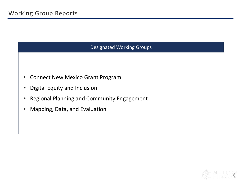## Designated Working Groups

- Connect New Mexico Grant Program
- Digital Equity and Inclusion
- Regional Planning and Community Engagement
- Mapping, Data, and Evaluation